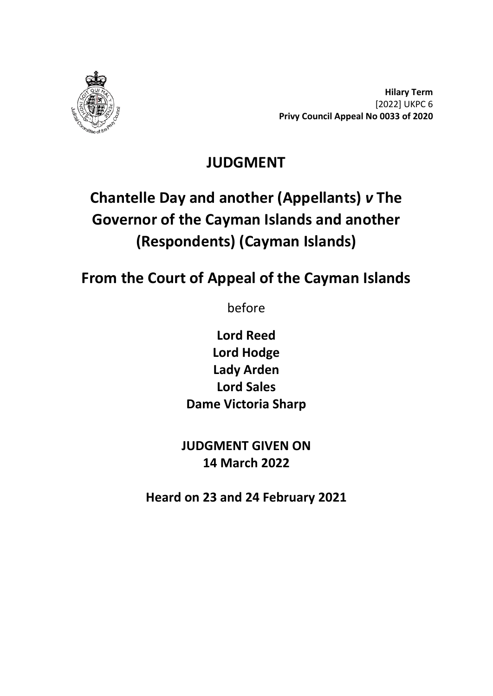

**Hilary Term** [2022] UKPC 6 **Privy Council Appeal No 0033 of 2020**

## **JUDGMENT**

# **Chantelle Day and another (Appellants)** *v* **The Governor of the Cayman Islands and another (Respondents) (Cayman Islands)**

# **From the Court of Appeal of the Cayman Islands**

before

**Lord Reed Lord Hodge Lady Arden Lord Sales Dame Victoria Sharp**

**JUDGMENT GIVEN ON 14 March 2022**

**Heard on 23 and 24 February 2021**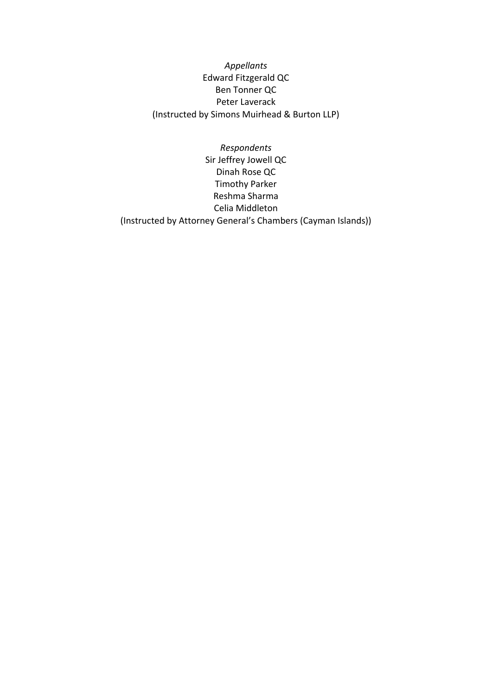*Appellants* Edward Fitzgerald QC Ben Tonner QC Peter Laverack (Instructed by Simons Muirhead & Burton LLP)

*Respondents* Sir Jeffrey Jowell QC Dinah Rose QC Timothy Parker Reshma Sharma Celia Middleton (Instructed by Attorney General's Chambers (Cayman Islands))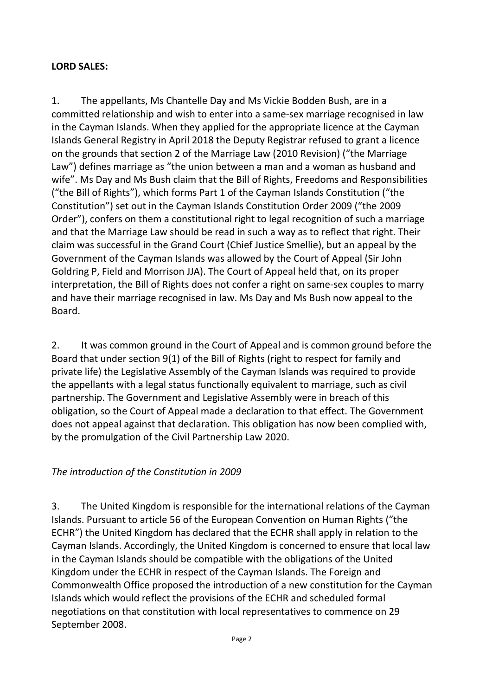#### **LORD SALES:**

1. The appellants, Ms Chantelle Day and Ms Vickie Bodden Bush, are in a committed relationship and wish to enter into a same-sex marriage recognised in law in the Cayman Islands. When they applied for the appropriate licence at the Cayman Islands General Registry in April 2018 the Deputy Registrar refused to grant a licence on the grounds that section 2 of the Marriage Law (2010 Revision) ("the Marriage Law") defines marriage as "the union between a man and a woman as husband and wife". Ms Day and Ms Bush claim that the Bill of Rights, Freedoms and Responsibilities ("the Bill of Rights"), which forms Part 1 of the Cayman Islands Constitution ("the Constitution") set out in the Cayman Islands Constitution Order 2009 ("the 2009 Order"), confers on them a constitutional right to legal recognition of such a marriage and that the Marriage Law should be read in such a way as to reflect that right. Their claim was successful in the Grand Court (Chief Justice Smellie), but an appeal by the Government of the Cayman Islands was allowed by the Court of Appeal (Sir John Goldring P, Field and Morrison JJA). The Court of Appeal held that, on its proper interpretation, the Bill of Rights does not confer a right on same-sex couples to marry and have their marriage recognised in law. Ms Day and Ms Bush now appeal to the Board.

2. It was common ground in the Court of Appeal and is common ground before the Board that under section 9(1) of the Bill of Rights (right to respect for family and private life) the Legislative Assembly of the Cayman Islands was required to provide the appellants with a legal status functionally equivalent to marriage, such as civil partnership. The Government and Legislative Assembly were in breach of this obligation, so the Court of Appeal made a declaration to that effect. The Government does not appeal against that declaration. This obligation has now been complied with, by the promulgation of the Civil Partnership Law 2020.

#### *The introduction of the Constitution in 2009*

3. The United Kingdom is responsible for the international relations of the Cayman Islands. Pursuant to article 56 of the European Convention on Human Rights ("the ECHR") the United Kingdom has declared that the ECHR shall apply in relation to the Cayman Islands. Accordingly, the United Kingdom is concerned to ensure that local law in the Cayman Islands should be compatible with the obligations of the United Kingdom under the ECHR in respect of the Cayman Islands. The Foreign and Commonwealth Office proposed the introduction of a new constitution for the Cayman Islands which would reflect the provisions of the ECHR and scheduled formal negotiations on that constitution with local representatives to commence on 29 September 2008.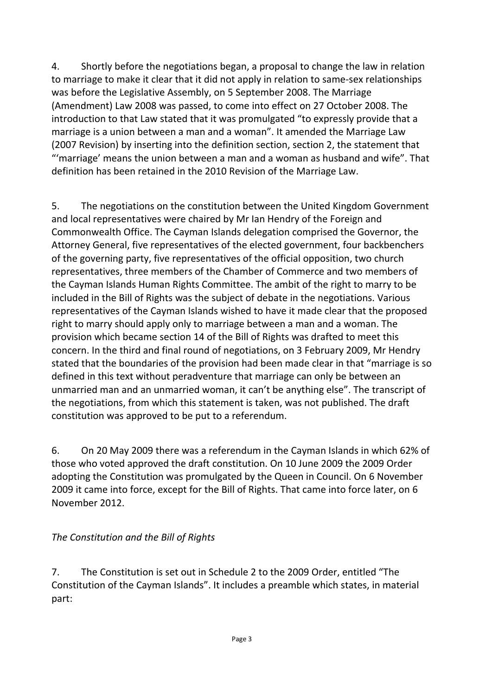4. Shortly before the negotiations began, a proposal to change the law in relation to marriage to make it clear that it did not apply in relation to same-sex relationships was before the Legislative Assembly, on 5 September 2008. The Marriage (Amendment) Law 2008 was passed, to come into effect on 27 October 2008. The introduction to that Law stated that it was promulgated "to expressly provide that a marriage is a union between a man and a woman". It amended the Marriage Law (2007 Revision) by inserting into the definition section, section 2, the statement that "'marriage' means the union between a man and a woman as husband and wife". That definition has been retained in the 2010 Revision of the Marriage Law.

5. The negotiations on the constitution between the United Kingdom Government and local representatives were chaired by Mr Ian Hendry of the Foreign and Commonwealth Office. The Cayman Islands delegation comprised the Governor, the Attorney General, five representatives of the elected government, four backbenchers of the governing party, five representatives of the official opposition, two church representatives, three members of the Chamber of Commerce and two members of the Cayman Islands Human Rights Committee. The ambit of the right to marry to be included in the Bill of Rights was the subject of debate in the negotiations. Various representatives of the Cayman Islands wished to have it made clear that the proposed right to marry should apply only to marriage between a man and a woman. The provision which became section 14 of the Bill of Rights was drafted to meet this concern. In the third and final round of negotiations, on 3 February 2009, Mr Hendry stated that the boundaries of the provision had been made clear in that "marriage is so defined in this text without peradventure that marriage can only be between an unmarried man and an unmarried woman, it can't be anything else". The transcript of the negotiations, from which this statement is taken, was not published. The draft constitution was approved to be put to a referendum.

6. On 20 May 2009 there was a referendum in the Cayman Islands in which 62% of those who voted approved the draft constitution. On 10 June 2009 the 2009 Order adopting the Constitution was promulgated by the Queen in Council. On 6 November 2009 it came into force, except for the Bill of Rights. That came into force later, on 6 November 2012.

#### *The Constitution and the Bill of Rights*

7. The Constitution is set out in Schedule 2 to the 2009 Order, entitled "The Constitution of the Cayman Islands". It includes a preamble which states, in material part: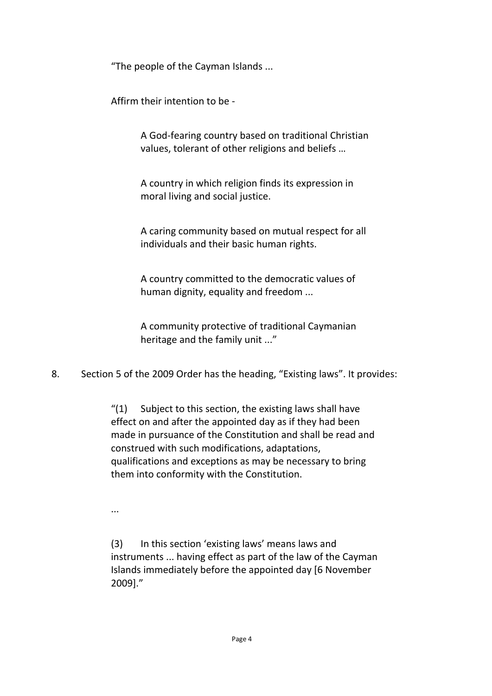"The people of the Cayman Islands ...

Affirm their intention to be -

A God-fearing country based on traditional Christian values, tolerant of other religions and beliefs …

A country in which religion finds its expression in moral living and social justice.

A caring community based on mutual respect for all individuals and their basic human rights.

A country committed to the democratic values of human dignity, equality and freedom ...

A community protective of traditional Caymanian heritage and the family unit ..."

8. Section 5 of the 2009 Order has the heading, "Existing laws". It provides:

 $''(1)$  Subject to this section, the existing laws shall have effect on and after the appointed day as if they had been made in pursuance of the Constitution and shall be read and construed with such modifications, adaptations, qualifications and exceptions as may be necessary to bring them into conformity with the Constitution.

...

(3) In this section 'existing laws' means laws and instruments ... having effect as part of the law of the Cayman Islands immediately before the appointed day [6 November 2009]."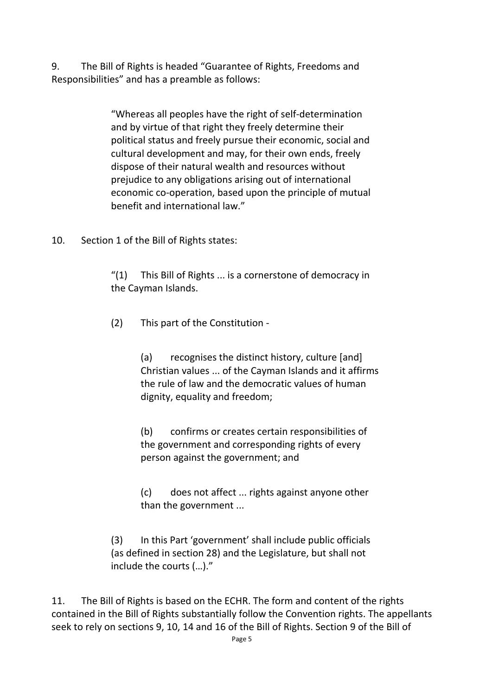9. The Bill of Rights is headed "Guarantee of Rights, Freedoms and Responsibilities" and has a preamble as follows:

> "Whereas all peoples have the right of self-determination and by virtue of that right they freely determine their political status and freely pursue their economic, social and cultural development and may, for their own ends, freely dispose of their natural wealth and resources without prejudice to any obligations arising out of international economic co-operation, based upon the principle of mutual benefit and international law."

10. Section 1 of the Bill of Rights states:

"(1) This Bill of Rights ... is a cornerstone of democracy in the Cayman Islands.

(2) This part of the Constitution -

(a) recognises the distinct history, culture [and] Christian values ... of the Cayman Islands and it affirms the rule of law and the democratic values of human dignity, equality and freedom;

(b) confirms or creates certain responsibilities of the government and corresponding rights of every person against the government; and

(c) does not affect ... rights against anyone other than the government ...

(3) In this Part 'government' shall include public officials (as defined in section 28) and the Legislature, but shall not include the courts (…)."

11. The Bill of Rights is based on the ECHR. The form and content of the rights contained in the Bill of Rights substantially follow the Convention rights. The appellants seek to rely on sections 9, 10, 14 and 16 of the Bill of Rights. Section 9 of the Bill of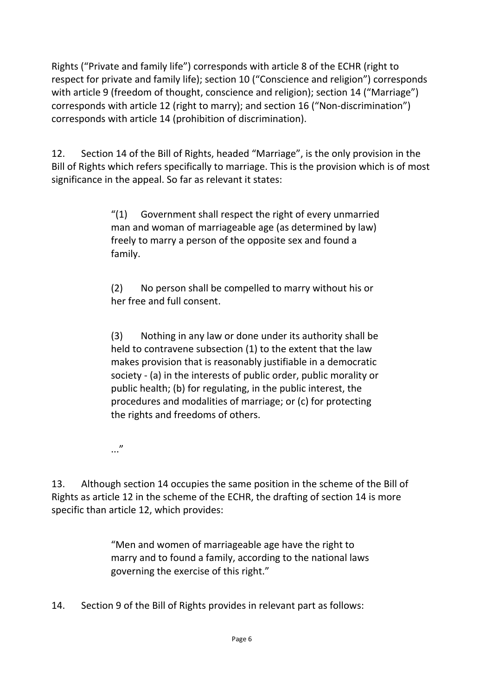Rights ("Private and family life") corresponds with article 8 of the ECHR (right to respect for private and family life); section 10 ("Conscience and religion") corresponds with article 9 (freedom of thought, conscience and religion); section 14 ("Marriage") corresponds with article 12 (right to marry); and section 16 ("Non-discrimination") corresponds with article 14 (prohibition of discrimination).

12. Section 14 of the Bill of Rights, headed "Marriage", is the only provision in the Bill of Rights which refers specifically to marriage. This is the provision which is of most significance in the appeal. So far as relevant it states:

> "(1) Government shall respect the right of every unmarried man and woman of marriageable age (as determined by law) freely to marry a person of the opposite sex and found a family.

(2) No person shall be compelled to marry without his or her free and full consent.

(3) Nothing in any law or done under its authority shall be held to contravene subsection (1) to the extent that the law makes provision that is reasonably justifiable in a democratic society - (a) in the interests of public order, public morality or public health; (b) for regulating, in the public interest, the procedures and modalities of marriage; or (c) for protecting the rights and freedoms of others.

..."

13. Although section 14 occupies the same position in the scheme of the Bill of Rights as article 12 in the scheme of the ECHR, the drafting of section 14 is more specific than article 12, which provides:

> "Men and women of marriageable age have the right to marry and to found a family, according to the national laws governing the exercise of this right."

14. Section 9 of the Bill of Rights provides in relevant part as follows: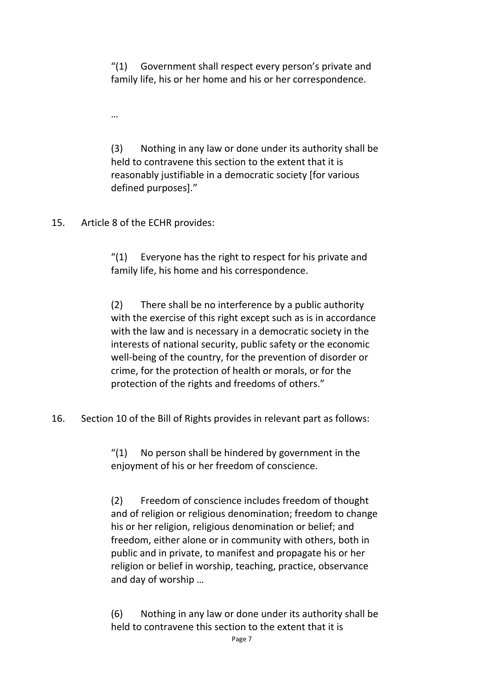"(1) Government shall respect every person's private and family life, his or her home and his or her correspondence.

…

(3) Nothing in any law or done under its authority shall be held to contravene this section to the extent that it is reasonably justifiable in a democratic society [for various defined purposes]."

15. Article 8 of the ECHR provides:

 $''(1)$  Everyone has the right to respect for his private and family life, his home and his correspondence.

(2) There shall be no interference by a public authority with the exercise of this right except such as is in accordance with the law and is necessary in a democratic society in the interests of national security, public safety or the economic well-being of the country, for the prevention of disorder or crime, for the protection of health or morals, or for the protection of the rights and freedoms of others."

16. Section 10 of the Bill of Rights provides in relevant part as follows:

 $''(1)$  No person shall be hindered by government in the enjoyment of his or her freedom of conscience.

(2) Freedom of conscience includes freedom of thought and of religion or religious denomination; freedom to change his or her religion, religious denomination or belief; and freedom, either alone or in community with others, both in public and in private, to manifest and propagate his or her religion or belief in worship, teaching, practice, observance and day of worship …

(6) Nothing in any law or done under its authority shall be held to contravene this section to the extent that it is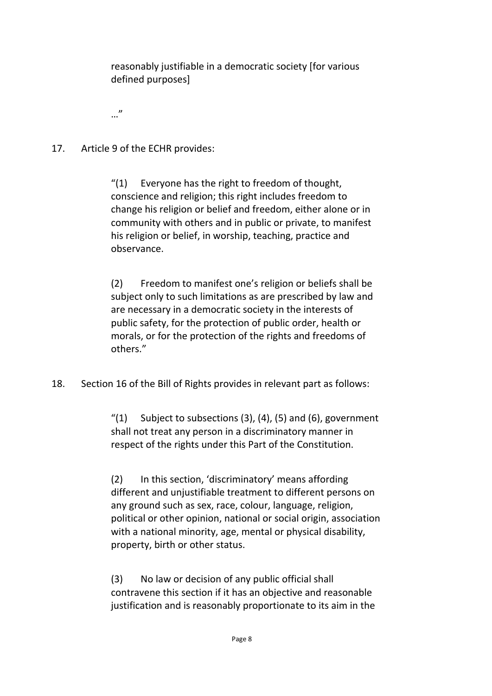reasonably justifiable in a democratic society [for various defined purposes]

…"

17. Article 9 of the ECHR provides:

"(1) Everyone has the right to freedom of thought, conscience and religion; this right includes freedom to change his religion or belief and freedom, either alone or in community with others and in public or private, to manifest his religion or belief, in worship, teaching, practice and observance.

(2) Freedom to manifest one's religion or beliefs shall be subject only to such limitations as are prescribed by law and are necessary in a democratic society in the interests of public safety, for the protection of public order, health or morals, or for the protection of the rights and freedoms of others."

18. Section 16 of the Bill of Rights provides in relevant part as follows:

 $''(1)$  Subject to subsections (3), (4), (5) and (6), government shall not treat any person in a discriminatory manner in respect of the rights under this Part of the Constitution.

(2) In this section, 'discriminatory' means affording different and unjustifiable treatment to different persons on any ground such as sex, race, colour, language, religion, political or other opinion, national or social origin, association with a national minority, age, mental or physical disability, property, birth or other status.

(3) No law or decision of any public official shall contravene this section if it has an objective and reasonable justification and is reasonably proportionate to its aim in the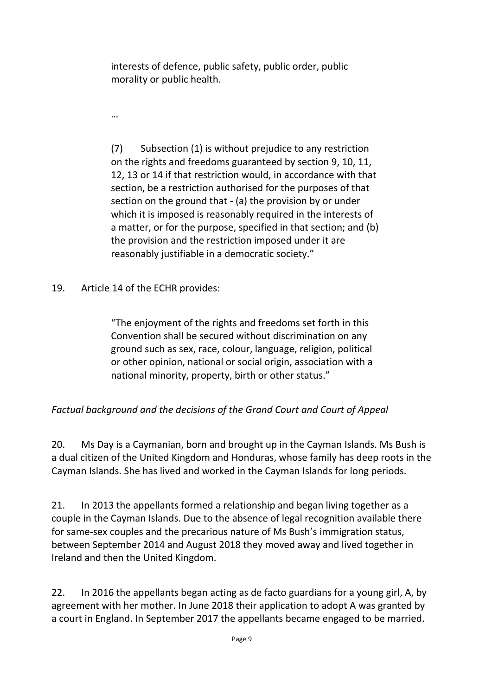interests of defence, public safety, public order, public morality or public health.

…

(7) Subsection (1) is without prejudice to any restriction on the rights and freedoms guaranteed by section 9, 10, 11, 12, 13 or 14 if that restriction would, in accordance with that section, be a restriction authorised for the purposes of that section on the ground that - (a) the provision by or under which it is imposed is reasonably required in the interests of a matter, or for the purpose, specified in that section; and (b) the provision and the restriction imposed under it are reasonably justifiable in a democratic society."

19. Article 14 of the ECHR provides:

"The enjoyment of the rights and freedoms set forth in this Convention shall be secured without discrimination on any ground such as sex, race, colour, language, religion, political or other opinion, national or social origin, association with a national minority, property, birth or other status."

#### *Factual background and the decisions of the Grand Court and Court of Appeal*

20. Ms Day is a Caymanian, born and brought up in the Cayman Islands. Ms Bush is a dual citizen of the United Kingdom and Honduras, whose family has deep roots in the Cayman Islands. She has lived and worked in the Cayman Islands for long periods.

21. In 2013 the appellants formed a relationship and began living together as a couple in the Cayman Islands. Due to the absence of legal recognition available there for same-sex couples and the precarious nature of Ms Bush's immigration status, between September 2014 and August 2018 they moved away and lived together in Ireland and then the United Kingdom.

22. In 2016 the appellants began acting as de facto guardians for a young girl, A, by agreement with her mother. In June 2018 their application to adopt A was granted by a court in England. In September 2017 the appellants became engaged to be married.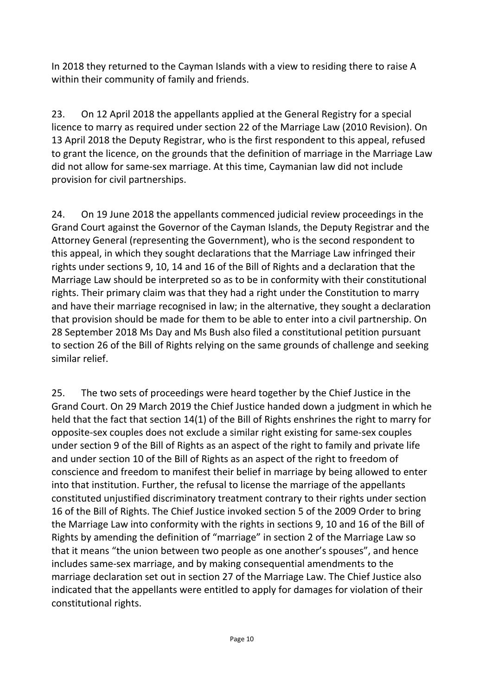In 2018 they returned to the Cayman Islands with a view to residing there to raise A within their community of family and friends.

23. On 12 April 2018 the appellants applied at the General Registry for a special licence to marry as required under section 22 of the Marriage Law (2010 Revision). On 13 April 2018 the Deputy Registrar, who is the first respondent to this appeal, refused to grant the licence, on the grounds that the definition of marriage in the Marriage Law did not allow for same-sex marriage. At this time, Caymanian law did not include provision for civil partnerships.

24. On 19 June 2018 the appellants commenced judicial review proceedings in the Grand Court against the Governor of the Cayman Islands, the Deputy Registrar and the Attorney General (representing the Government), who is the second respondent to this appeal, in which they sought declarations that the Marriage Law infringed their rights under sections 9, 10, 14 and 16 of the Bill of Rights and a declaration that the Marriage Law should be interpreted so as to be in conformity with their constitutional rights. Their primary claim was that they had a right under the Constitution to marry and have their marriage recognised in law; in the alternative, they sought a declaration that provision should be made for them to be able to enter into a civil partnership. On 28 September 2018 Ms Day and Ms Bush also filed a constitutional petition pursuant to section 26 of the Bill of Rights relying on the same grounds of challenge and seeking similar relief.

25. The two sets of proceedings were heard together by the Chief Justice in the Grand Court. On 29 March 2019 the Chief Justice handed down a judgment in which he held that the fact that section 14(1) of the Bill of Rights enshrines the right to marry for opposite-sex couples does not exclude a similar right existing for same-sex couples under section 9 of the Bill of Rights as an aspect of the right to family and private life and under section 10 of the Bill of Rights as an aspect of the right to freedom of conscience and freedom to manifest their belief in marriage by being allowed to enter into that institution. Further, the refusal to license the marriage of the appellants constituted unjustified discriminatory treatment contrary to their rights under section 16 of the Bill of Rights. The Chief Justice invoked section 5 of the 2009 Order to bring the Marriage Law into conformity with the rights in sections 9, 10 and 16 of the Bill of Rights by amending the definition of "marriage" in section 2 of the Marriage Law so that it means "the union between two people as one another's spouses", and hence includes same-sex marriage, and by making consequential amendments to the marriage declaration set out in section 27 of the Marriage Law. The Chief Justice also indicated that the appellants were entitled to apply for damages for violation of their constitutional rights.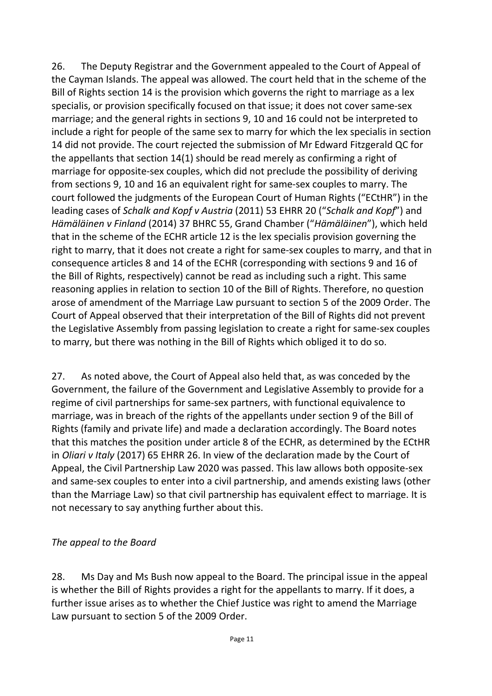26. The Deputy Registrar and the Government appealed to the Court of Appeal of the Cayman Islands. The appeal was allowed. The court held that in the scheme of the Bill of Rights section 14 is the provision which governs the right to marriage as a lex specialis, or provision specifically focused on that issue; it does not cover same-sex marriage; and the general rights in sections 9, 10 and 16 could not be interpreted to include a right for people of the same sex to marry for which the lex specialis in section 14 did not provide. The court rejected the submission of Mr Edward Fitzgerald QC for the appellants that section 14(1) should be read merely as confirming a right of marriage for opposite-sex couples, which did not preclude the possibility of deriving from sections 9, 10 and 16 an equivalent right for same-sex couples to marry. The court followed the judgments of the European Court of Human Rights ("ECtHR") in the leading cases of *Schalk and Kopf v Austria* (2011) 53 EHRR 20 ("*Schalk and Kopf*") and *Hämäläinen v Finland* (2014) 37 BHRC 55, Grand Chamber ("*Hämäläinen*"), which held that in the scheme of the ECHR article 12 is the lex specialis provision governing the right to marry, that it does not create a right for same-sex couples to marry, and that in consequence articles 8 and 14 of the ECHR (corresponding with sections 9 and 16 of the Bill of Rights, respectively) cannot be read as including such a right. This same reasoning applies in relation to section 10 of the Bill of Rights. Therefore, no question arose of amendment of the Marriage Law pursuant to section 5 of the 2009 Order. The Court of Appeal observed that their interpretation of the Bill of Rights did not prevent the Legislative Assembly from passing legislation to create a right for same-sex couples to marry, but there was nothing in the Bill of Rights which obliged it to do so.

27. As noted above, the Court of Appeal also held that, as was conceded by the Government, the failure of the Government and Legislative Assembly to provide for a regime of civil partnerships for same-sex partners, with functional equivalence to marriage, was in breach of the rights of the appellants under section 9 of the Bill of Rights (family and private life) and made a declaration accordingly. The Board notes that this matches the position under article 8 of the ECHR, as determined by the ECtHR in *Oliari v Italy* (2017) 65 EHRR 26. In view of the declaration made by the Court of Appeal, the Civil Partnership Law 2020 was passed. This law allows both opposite-sex and same-sex couples to enter into a civil partnership, and amends existing laws (other than the Marriage Law) so that civil partnership has equivalent effect to marriage. It is not necessary to say anything further about this.

#### *The appeal to the Board*

28. Ms Day and Ms Bush now appeal to the Board. The principal issue in the appeal is whether the Bill of Rights provides a right for the appellants to marry. If it does, a further issue arises as to whether the Chief Justice was right to amend the Marriage Law pursuant to section 5 of the 2009 Order.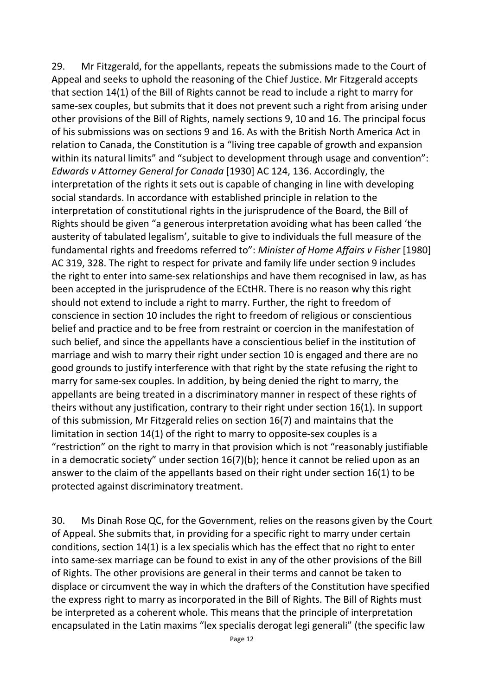29. Mr Fitzgerald, for the appellants, repeats the submissions made to the Court of Appeal and seeks to uphold the reasoning of the Chief Justice. Mr Fitzgerald accepts that section 14(1) of the Bill of Rights cannot be read to include a right to marry for same-sex couples, but submits that it does not prevent such a right from arising under other provisions of the Bill of Rights, namely sections 9, 10 and 16. The principal focus of his submissions was on sections 9 and 16. As with the British North America Act in relation to Canada, the Constitution is a "living tree capable of growth and expansion within its natural limits" and "subject to development through usage and convention": *Edwards v Attorney General for Canada* [1930] AC 124, 136. Accordingly, the interpretation of the rights it sets out is capable of changing in line with developing social standards. In accordance with established principle in relation to the interpretation of constitutional rights in the jurisprudence of the Board, the Bill of Rights should be given "a generous interpretation avoiding what has been called 'the austerity of tabulated legalism', suitable to give to individuals the full measure of the fundamental rights and freedoms referred to": *Minister of Home Affairs v Fisher* [1980] AC 319, 328. The right to respect for private and family life under section 9 includes the right to enter into same-sex relationships and have them recognised in law, as has been accepted in the jurisprudence of the ECtHR. There is no reason why this right should not extend to include a right to marry. Further, the right to freedom of conscience in section 10 includes the right to freedom of religious or conscientious belief and practice and to be free from restraint or coercion in the manifestation of such belief, and since the appellants have a conscientious belief in the institution of marriage and wish to marry their right under section 10 is engaged and there are no good grounds to justify interference with that right by the state refusing the right to marry for same-sex couples. In addition, by being denied the right to marry, the appellants are being treated in a discriminatory manner in respect of these rights of theirs without any justification, contrary to their right under section 16(1). In support of this submission, Mr Fitzgerald relies on section 16(7) and maintains that the limitation in section 14(1) of the right to marry to opposite-sex couples is a "restriction" on the right to marry in that provision which is not "reasonably justifiable in a democratic society" under section 16(7)(b); hence it cannot be relied upon as an answer to the claim of the appellants based on their right under section 16(1) to be protected against discriminatory treatment.

30. Ms Dinah Rose QC, for the Government, relies on the reasons given by the Court of Appeal. She submits that, in providing for a specific right to marry under certain conditions, section 14(1) is a lex specialis which has the effect that no right to enter into same-sex marriage can be found to exist in any of the other provisions of the Bill of Rights. The other provisions are general in their terms and cannot be taken to displace or circumvent the way in which the drafters of the Constitution have specified the express right to marry as incorporated in the Bill of Rights. The Bill of Rights must be interpreted as a coherent whole. This means that the principle of interpretation encapsulated in the Latin maxims "lex specialis derogat legi generali" (the specific law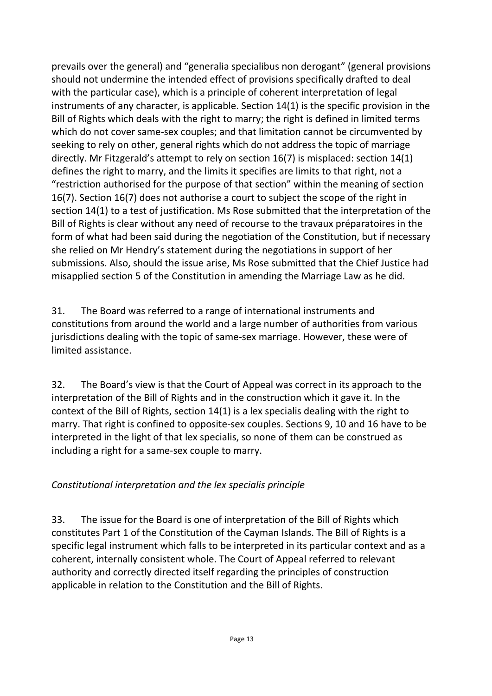prevails over the general) and "generalia specialibus non derogant" (general provisions should not undermine the intended effect of provisions specifically drafted to deal with the particular case), which is a principle of coherent interpretation of legal instruments of any character, is applicable. Section 14(1) is the specific provision in the Bill of Rights which deals with the right to marry; the right is defined in limited terms which do not cover same-sex couples; and that limitation cannot be circumvented by seeking to rely on other, general rights which do not address the topic of marriage directly. Mr Fitzgerald's attempt to rely on section 16(7) is misplaced: section 14(1) defines the right to marry, and the limits it specifies are limits to that right, not a "restriction authorised for the purpose of that section" within the meaning of section 16(7). Section 16(7) does not authorise a court to subject the scope of the right in section 14(1) to a test of justification. Ms Rose submitted that the interpretation of the Bill of Rights is clear without any need of recourse to the travaux préparatoires in the form of what had been said during the negotiation of the Constitution, but if necessary she relied on Mr Hendry's statement during the negotiations in support of her submissions. Also, should the issue arise, Ms Rose submitted that the Chief Justice had misapplied section 5 of the Constitution in amending the Marriage Law as he did.

31. The Board was referred to a range of international instruments and constitutions from around the world and a large number of authorities from various jurisdictions dealing with the topic of same-sex marriage. However, these were of limited assistance.

32. The Board's view is that the Court of Appeal was correct in its approach to the interpretation of the Bill of Rights and in the construction which it gave it. In the context of the Bill of Rights, section 14(1) is a lex specialis dealing with the right to marry. That right is confined to opposite-sex couples. Sections 9, 10 and 16 have to be interpreted in the light of that lex specialis, so none of them can be construed as including a right for a same-sex couple to marry.

#### *Constitutional interpretation and the lex specialis principle*

33. The issue for the Board is one of interpretation of the Bill of Rights which constitutes Part 1 of the Constitution of the Cayman Islands. The Bill of Rights is a specific legal instrument which falls to be interpreted in its particular context and as a coherent, internally consistent whole. The Court of Appeal referred to relevant authority and correctly directed itself regarding the principles of construction applicable in relation to the Constitution and the Bill of Rights.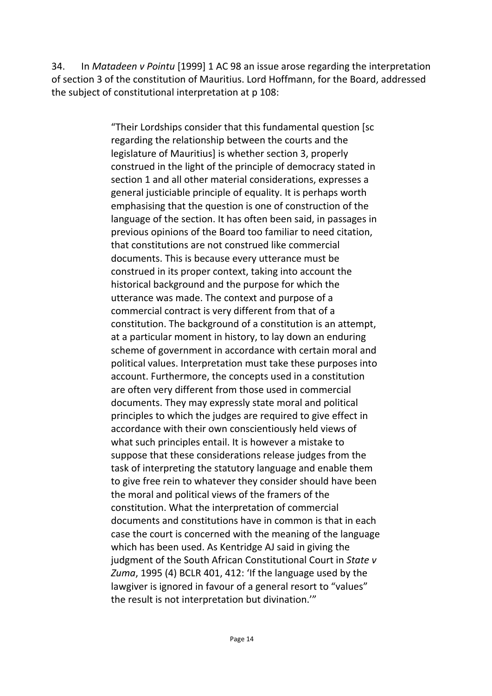34. In *Matadeen v Pointu* [1999] 1 AC 98 an issue arose regarding the interpretation of section 3 of the constitution of Mauritius. Lord Hoffmann, for the Board, addressed the subject of constitutional interpretation at p 108:

> "Their Lordships consider that this fundamental question [sc regarding the relationship between the courts and the legislature of Mauritius] is whether section 3, properly construed in the light of the principle of democracy stated in section 1 and all other material considerations, expresses a general justiciable principle of equality. It is perhaps worth emphasising that the question is one of construction of the language of the section. It has often been said, in passages in previous opinions of the Board too familiar to need citation, that constitutions are not construed like commercial documents. This is because every utterance must be construed in its proper context, taking into account the historical background and the purpose for which the utterance was made. The context and purpose of a commercial contract is very different from that of a constitution. The background of a constitution is an attempt, at a particular moment in history, to lay down an enduring scheme of government in accordance with certain moral and political values. Interpretation must take these purposes into account. Furthermore, the concepts used in a constitution are often very different from those used in commercial documents. They may expressly state moral and political principles to which the judges are required to give effect in accordance with their own conscientiously held views of what such principles entail. It is however a mistake to suppose that these considerations release judges from the task of interpreting the statutory language and enable them to give free rein to whatever they consider should have been the moral and political views of the framers of the constitution. What the interpretation of commercial documents and constitutions have in common is that in each case the court is concerned with the meaning of the language which has been used. As Kentridge AJ said in giving the judgment of the South African Constitutional Court in *State v Zuma*, 1995 (4) BCLR 401, 412: 'If the language used by the lawgiver is ignored in favour of a general resort to "values" the result is not interpretation but divination.'"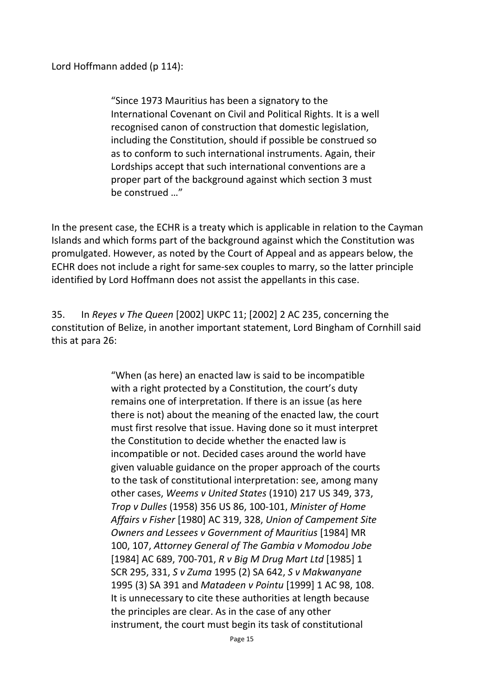Lord Hoffmann added (p 114):

"Since 1973 Mauritius has been a signatory to the International Covenant on Civil and Political Rights. It is a well recognised canon of construction that domestic legislation, including the Constitution, should if possible be construed so as to conform to such international instruments. Again, their Lordships accept that such international conventions are a proper part of the background against which section 3 must be construed …"

In the present case, the ECHR is a treaty which is applicable in relation to the Cayman Islands and which forms part of the background against which the Constitution was promulgated. However, as noted by the Court of Appeal and as appears below, the ECHR does not include a right for same-sex couples to marry, so the latter principle identified by Lord Hoffmann does not assist the appellants in this case.

35. In *Reyes v The Queen* [2002] UKPC 11; [2002] 2 AC 235, concerning the constitution of Belize, in another important statement, Lord Bingham of Cornhill said this at para 26:

> "When (as here) an enacted law is said to be incompatible with a right protected by a Constitution, the court's duty remains one of interpretation. If there is an issue (as here there is not) about the meaning of the enacted law, the court must first resolve that issue. Having done so it must interpret the Constitution to decide whether the enacted law is incompatible or not. Decided cases around the world have given valuable guidance on the proper approach of the courts to the task of constitutional interpretation: see, among many other cases, *Weems v United States* (1910) 217 US 349, 373, *Trop v Dulles* (1958) 356 US 86, 100-101, *Minister of Home Affairs v Fisher* [1980] AC 319, 328, *Union of Campement Site Owners and Lessees v Government of Mauritius* [1984] MR 100, 107, *Attorney General of The Gambia v Momodou Jobe* [1984] AC 689, 700-701, *R v Big M Drug Mart Ltd* [1985] 1 SCR 295, 331, *S v Zuma* 1995 (2) SA 642, *S v Makwanyane* 1995 (3) SA 391 and *Matadeen v Pointu* [1999] 1 AC 98, 108. It is unnecessary to cite these authorities at length because the principles are clear. As in the case of any other instrument, the court must begin its task of constitutional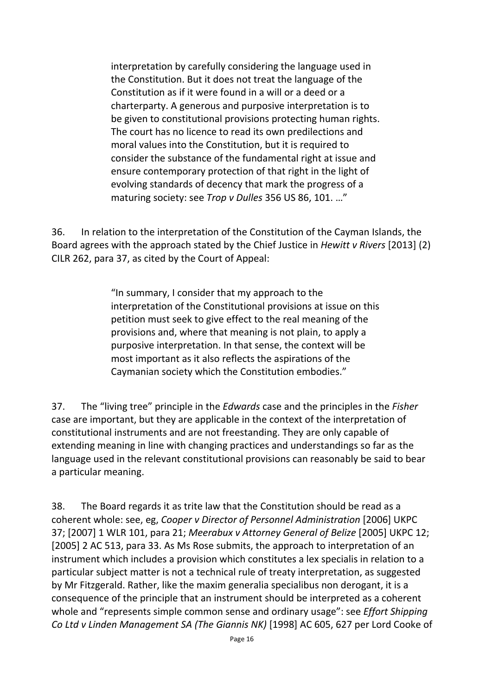interpretation by carefully considering the language used in the Constitution. But it does not treat the language of the Constitution as if it were found in a will or a deed or a charterparty. A generous and purposive interpretation is to be given to constitutional provisions protecting human rights. The court has no licence to read its own predilections and moral values into the Constitution, but it is required to consider the substance of the fundamental right at issue and ensure contemporary protection of that right in the light of evolving standards of decency that mark the progress of a maturing society: see *Trop v Dulles* 356 US 86, 101. …"

36. In relation to the interpretation of the Constitution of the Cayman Islands, the Board agrees with the approach stated by the Chief Justice in *Hewitt v Rivers* [2013] (2) CILR 262, para 37, as cited by the Court of Appeal:

> "In summary, I consider that my approach to the interpretation of the Constitutional provisions at issue on this petition must seek to give effect to the real meaning of the provisions and, where that meaning is not plain, to apply a purposive interpretation. In that sense, the context will be most important as it also reflects the aspirations of the Caymanian society which the Constitution embodies."

37. The "living tree" principle in the *Edwards* case and the principles in the *Fisher* case are important, but they are applicable in the context of the interpretation of constitutional instruments and are not freestanding. They are only capable of extending meaning in line with changing practices and understandings so far as the language used in the relevant constitutional provisions can reasonably be said to bear a particular meaning.

38. The Board regards it as trite law that the Constitution should be read as a coherent whole: see, eg, *Cooper v Director of Personnel Administration* [2006] UKPC 37; [2007] 1 WLR 101, para 21; *Meerabux v Attorney General of Belize* [2005] UKPC 12; [2005] 2 AC 513, para 33. As Ms Rose submits, the approach to interpretation of an instrument which includes a provision which constitutes a lex specialis in relation to a particular subject matter is not a technical rule of treaty interpretation, as suggested by Mr Fitzgerald. Rather, like the maxim generalia specialibus non derogant, it is a consequence of the principle that an instrument should be interpreted as a coherent whole and "represents simple common sense and ordinary usage": see *Effort Shipping Co Ltd v Linden Management SA (The Giannis NK)* [1998] AC 605, 627 per Lord Cooke of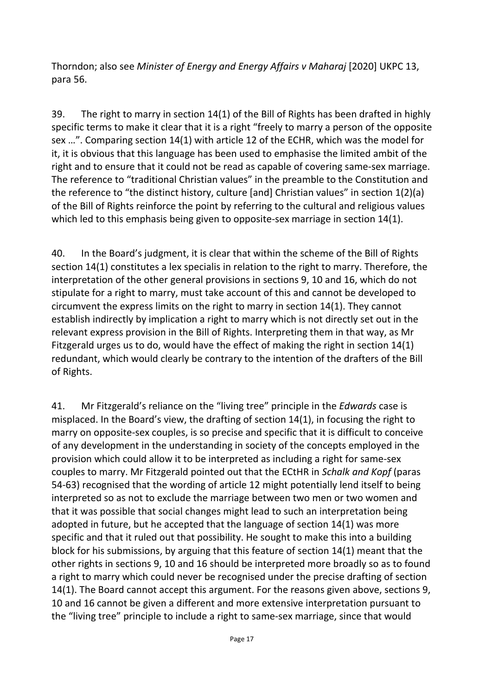Thorndon; also see *Minister of Energy and Energy Affairs v Maharaj* [2020] UKPC 13, para 56.

39. The right to marry in section 14(1) of the Bill of Rights has been drafted in highly specific terms to make it clear that it is a right "freely to marry a person of the opposite sex …". Comparing section 14(1) with article 12 of the ECHR, which was the model for it, it is obvious that this language has been used to emphasise the limited ambit of the right and to ensure that it could not be read as capable of covering same-sex marriage. The reference to "traditional Christian values" in the preamble to the Constitution and the reference to "the distinct history, culture [and] Christian values" in section 1(2)(a) of the Bill of Rights reinforce the point by referring to the cultural and religious values which led to this emphasis being given to opposite-sex marriage in section 14(1).

40. In the Board's judgment, it is clear that within the scheme of the Bill of Rights section 14(1) constitutes a lex specialis in relation to the right to marry. Therefore, the interpretation of the other general provisions in sections 9, 10 and 16, which do not stipulate for a right to marry, must take account of this and cannot be developed to circumvent the express limits on the right to marry in section 14(1). They cannot establish indirectly by implication a right to marry which is not directly set out in the relevant express provision in the Bill of Rights. Interpreting them in that way, as Mr Fitzgerald urges us to do, would have the effect of making the right in section 14(1) redundant, which would clearly be contrary to the intention of the drafters of the Bill of Rights.

41. Mr Fitzgerald's reliance on the "living tree" principle in the *Edwards* case is misplaced. In the Board's view, the drafting of section 14(1), in focusing the right to marry on opposite-sex couples, is so precise and specific that it is difficult to conceive of any development in the understanding in society of the concepts employed in the provision which could allow it to be interpreted as including a right for same-sex couples to marry. Mr Fitzgerald pointed out that the ECtHR in *Schalk and Kopf* (paras 54-63) recognised that the wording of article 12 might potentially lend itself to being interpreted so as not to exclude the marriage between two men or two women and that it was possible that social changes might lead to such an interpretation being adopted in future, but he accepted that the language of section 14(1) was more specific and that it ruled out that possibility. He sought to make this into a building block for his submissions, by arguing that this feature of section 14(1) meant that the other rights in sections 9, 10 and 16 should be interpreted more broadly so as to found a right to marry which could never be recognised under the precise drafting of section 14(1). The Board cannot accept this argument. For the reasons given above, sections 9, 10 and 16 cannot be given a different and more extensive interpretation pursuant to the "living tree" principle to include a right to same-sex marriage, since that would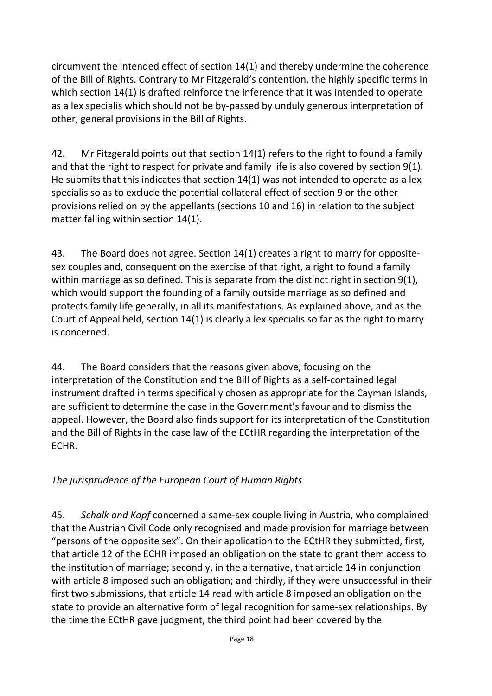circumvent the intended effect of section 14(1) and thereby undermine the coherence of the Bill of Rights. Contrary to Mr Fitzgerald's contention, the highly specific terms in which section 14(1) is drafted reinforce the inference that it was intended to operate as a lex specialis which should not be by-passed by unduly generous interpretation of other, general provisions in the Bill of Rights.

42. Mr Fitzgerald points out that section 14(1) refers to the right to found a family and that the right to respect for private and family life is also covered by section 9(1). He submits that this indicates that section 14(1) was not intended to operate as a lex specialis so as to exclude the potential collateral effect of section 9 or the other provisions relied on by the appellants (sections 10 and 16) in relation to the subject matter falling within section 14(1).

43. The Board does not agree. Section 14(1) creates a right to marry for oppositesex couples and, consequent on the exercise of that right, a right to found a family within marriage as so defined. This is separate from the distinct right in section 9(1), which would support the founding of a family outside marriage as so defined and protects family life generally, in all its manifestations. As explained above, and as the Court of Appeal held, section 14(1) is clearly a lex specialis so far as the right to marry is concerned.

44. The Board considers that the reasons given above, focusing on the interpretation of the Constitution and the Bill of Rights as a self-contained legal instrument drafted in terms specifically chosen as appropriate for the Cayman Islands, are sufficient to determine the case in the Government's favour and to dismiss the appeal. However, the Board also finds support for its interpretation of the Constitution and the Bill of Rights in the case law of the ECtHR regarding the interpretation of the ECHR.

### *The jurisprudence of the European Court of Human Rights*

45. *Schalk and Kopf* concerned a same-sex couple living in Austria, who complained that the Austrian Civil Code only recognised and made provision for marriage between "persons of the opposite sex". On their application to the ECtHR they submitted, first, that article 12 of the ECHR imposed an obligation on the state to grant them access to the institution of marriage; secondly, in the alternative, that article 14 in conjunction with article 8 imposed such an obligation; and thirdly, if they were unsuccessful in their first two submissions, that article 14 read with article 8 imposed an obligation on the state to provide an alternative form of legal recognition for same-sex relationships. By the time the ECtHR gave judgment, the third point had been covered by the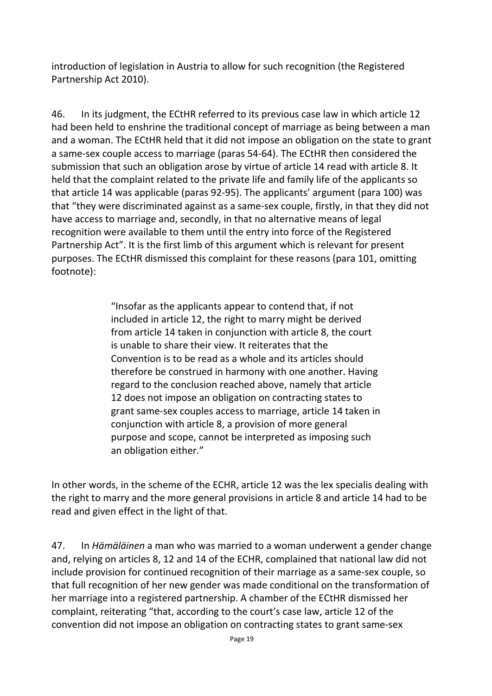introduction of legislation in Austria to allow for such recognition (the Registered Partnership Act 2010).

46. In its judgment, the ECtHR referred to its previous case law in which article 12 had been held to enshrine the traditional concept of marriage as being between a man and a woman. The ECtHR held that it did not impose an obligation on the state to grant a same-sex couple access to marriage (paras 54-64). The ECtHR then considered the submission that such an obligation arose by virtue of article 14 read with article 8. It held that the complaint related to the private life and family life of the applicants so that article 14 was applicable (paras 92-95). The applicants' argument (para 100) was that "they were discriminated against as a same-sex couple, firstly, in that they did not have access to marriage and, secondly, in that no alternative means of legal recognition were available to them until the entry into force of the Registered Partnership Act". It is the first limb of this argument which is relevant for present purposes. The ECtHR dismissed this complaint for these reasons (para 101, omitting footnote):

> "Insofar as the applicants appear to contend that, if not included in article 12, the right to marry might be derived from article 14 taken in conjunction with article 8, the court is unable to share their view. It reiterates that the Convention is to be read as a whole and its articles should therefore be construed in harmony with one another. Having regard to the conclusion reached above, namely that article 12 does not impose an obligation on contracting states to grant same-sex couples access to marriage, article 14 taken in conjunction with article 8, a provision of more general purpose and scope, cannot be interpreted as imposing such an obligation either."

In other words, in the scheme of the ECHR, article 12 was the lex specialis dealing with the right to marry and the more general provisions in article 8 and article 14 had to be read and given effect in the light of that.

47. In *Hämäläinen* a man who was married to a woman underwent a gender change and, relying on articles 8, 12 and 14 of the ECHR, complained that national law did not include provision for continued recognition of their marriage as a same-sex couple, so that full recognition of her new gender was made conditional on the transformation of her marriage into a registered partnership. A chamber of the ECtHR dismissed her complaint, reiterating "that, according to the court's case law, article 12 of the convention did not impose an obligation on contracting states to grant same-sex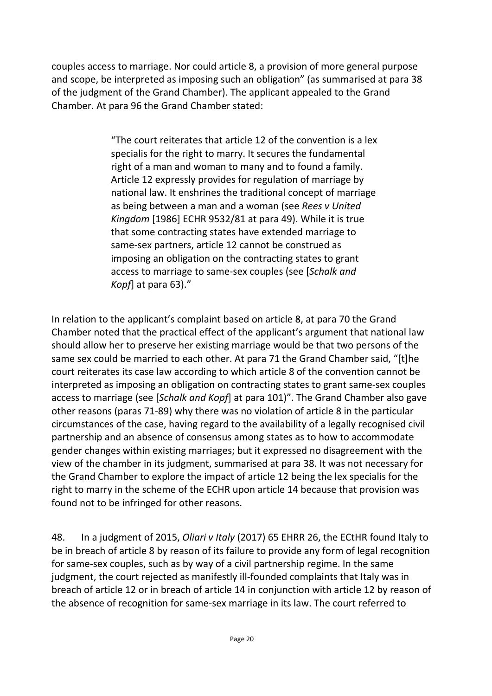couples access to marriage. Nor could article 8, a provision of more general purpose and scope, be interpreted as imposing such an obligation" (as summarised at para 38 of the judgment of the Grand Chamber). The applicant appealed to the Grand Chamber. At para 96 the Grand Chamber stated:

> "The court reiterates that article 12 of the convention is a lex specialis for the right to marry. It secures the fundamental right of a man and woman to many and to found a family. Article 12 expressly provides for regulation of marriage by national law. It enshrines the traditional concept of marriage as being between a man and a woman (see *Rees v United Kingdom* [1986] ECHR 9532/81 at para 49). While it is true that some contracting states have extended marriage to same-sex partners, article 12 cannot be construed as imposing an obligation on the contracting states to grant access to marriage to same-sex couples (see [*Schalk and Kopf*] at para 63)."

In relation to the applicant's complaint based on article 8, at para 70 the Grand Chamber noted that the practical effect of the applicant's argument that national law should allow her to preserve her existing marriage would be that two persons of the same sex could be married to each other. At para 71 the Grand Chamber said, "[t]he court reiterates its case law according to which article 8 of the convention cannot be interpreted as imposing an obligation on contracting states to grant same-sex couples access to marriage (see [*Schalk and Kopf*] at para 101)". The Grand Chamber also gave other reasons (paras 71-89) why there was no violation of article 8 in the particular circumstances of the case, having regard to the availability of a legally recognised civil partnership and an absence of consensus among states as to how to accommodate gender changes within existing marriages; but it expressed no disagreement with the view of the chamber in its judgment, summarised at para 38. It was not necessary for the Grand Chamber to explore the impact of article 12 being the lex specialis for the right to marry in the scheme of the ECHR upon article 14 because that provision was found not to be infringed for other reasons.

48. In a judgment of 2015, *Oliari v Italy* (2017) 65 EHRR 26, the ECtHR found Italy to be in breach of article 8 by reason of its failure to provide any form of legal recognition for same-sex couples, such as by way of a civil partnership regime. In the same judgment, the court rejected as manifestly ill-founded complaints that Italy was in breach of article 12 or in breach of article 14 in conjunction with article 12 by reason of the absence of recognition for same-sex marriage in its law. The court referred to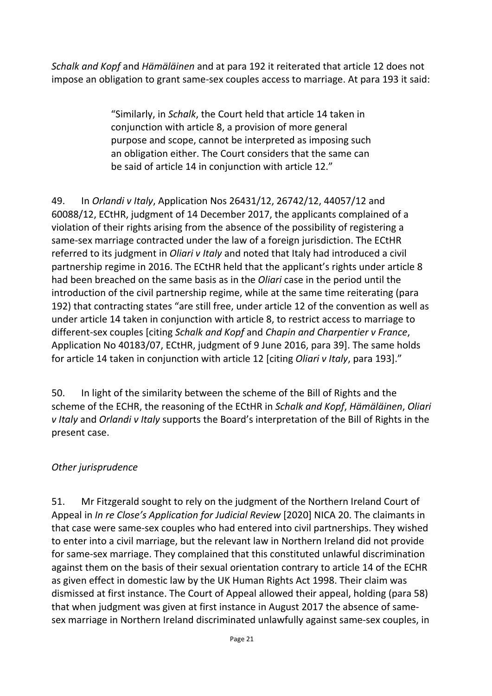*Schalk and Kopf* and *Hämäläinen* and at para 192 it reiterated that article 12 does not impose an obligation to grant same-sex couples access to marriage. At para 193 it said:

> "Similarly, in *Schalk*, the Court held that article 14 taken in conjunction with article 8, a provision of more general purpose and scope, cannot be interpreted as imposing such an obligation either. The Court considers that the same can be said of article 14 in conjunction with article 12."

49. In *Orlandi v Italy*, Application Nos 26431/12, 26742/12, 44057/12 and 60088/12, ECtHR, judgment of 14 December 2017, the applicants complained of a violation of their rights arising from the absence of the possibility of registering a same-sex marriage contracted under the law of a foreign jurisdiction. The ECtHR referred to its judgment in *Oliari v Italy* and noted that Italy had introduced a civil partnership regime in 2016. The ECtHR held that the applicant's rights under article 8 had been breached on the same basis as in the *Oliari* case in the period until the introduction of the civil partnership regime, while at the same time reiterating (para 192) that contracting states "are still free, under article 12 of the convention as well as under article 14 taken in conjunction with article 8, to restrict access to marriage to different-sex couples [citing *Schalk and Kopf* and *Chapin and Charpentier v France*, Application No 40183/07, ECtHR, judgment of 9 June 2016, para 39]. The same holds for article 14 taken in conjunction with article 12 [citing *Oliari v Italy*, para 193]."

50. In light of the similarity between the scheme of the Bill of Rights and the scheme of the ECHR, the reasoning of the ECtHR in *Schalk and Kopf*, *Hämäläinen*, *Oliari v Italy* and *Orlandi v Italy* supports the Board's interpretation of the Bill of Rights in the present case.

#### *Other jurisprudence*

51. Mr Fitzgerald sought to rely on the judgment of the Northern Ireland Court of Appeal in *In re Close's Application for Judicial Review* [2020] NICA 20. The claimants in that case were same-sex couples who had entered into civil partnerships. They wished to enter into a civil marriage, but the relevant law in Northern Ireland did not provide for same-sex marriage. They complained that this constituted unlawful discrimination against them on the basis of their sexual orientation contrary to article 14 of the ECHR as given effect in domestic law by the UK Human Rights Act 1998. Their claim was dismissed at first instance. The Court of Appeal allowed their appeal, holding (para 58) that when judgment was given at first instance in August 2017 the absence of samesex marriage in Northern Ireland discriminated unlawfully against same-sex couples, in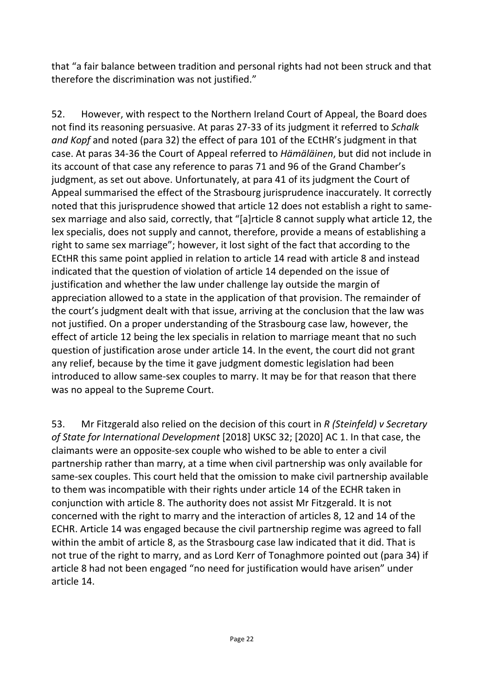that "a fair balance between tradition and personal rights had not been struck and that therefore the discrimination was not justified."

52. However, with respect to the Northern Ireland Court of Appeal, the Board does not find its reasoning persuasive. At paras 27-33 of its judgment it referred to *Schalk and Kopf* and noted (para 32) the effect of para 101 of the ECtHR's judgment in that case. At paras 34-36 the Court of Appeal referred to *Hämäläinen*, but did not include in its account of that case any reference to paras 71 and 96 of the Grand Chamber's judgment, as set out above. Unfortunately, at para 41 of its judgment the Court of Appeal summarised the effect of the Strasbourg jurisprudence inaccurately. It correctly noted that this jurisprudence showed that article 12 does not establish a right to samesex marriage and also said, correctly, that "[a]rticle 8 cannot supply what article 12, the lex specialis, does not supply and cannot, therefore, provide a means of establishing a right to same sex marriage"; however, it lost sight of the fact that according to the ECtHR this same point applied in relation to article 14 read with article 8 and instead indicated that the question of violation of article 14 depended on the issue of justification and whether the law under challenge lay outside the margin of appreciation allowed to a state in the application of that provision. The remainder of the court's judgment dealt with that issue, arriving at the conclusion that the law was not justified. On a proper understanding of the Strasbourg case law, however, the effect of article 12 being the lex specialis in relation to marriage meant that no such question of justification arose under article 14. In the event, the court did not grant any relief, because by the time it gave judgment domestic legislation had been introduced to allow same-sex couples to marry. It may be for that reason that there was no appeal to the Supreme Court.

53. Mr Fitzgerald also relied on the decision of this court in *R (Steinfeld) v Secretary of State for International Development* [2018] UKSC 32; [2020] AC 1. In that case, the claimants were an opposite-sex couple who wished to be able to enter a civil partnership rather than marry, at a time when civil partnership was only available for same-sex couples. This court held that the omission to make civil partnership available to them was incompatible with their rights under article 14 of the ECHR taken in conjunction with article 8. The authority does not assist Mr Fitzgerald. It is not concerned with the right to marry and the interaction of articles 8, 12 and 14 of the ECHR. Article 14 was engaged because the civil partnership regime was agreed to fall within the ambit of article 8, as the Strasbourg case law indicated that it did. That is not true of the right to marry, and as Lord Kerr of Tonaghmore pointed out (para 34) if article 8 had not been engaged "no need for justification would have arisen" under article 14.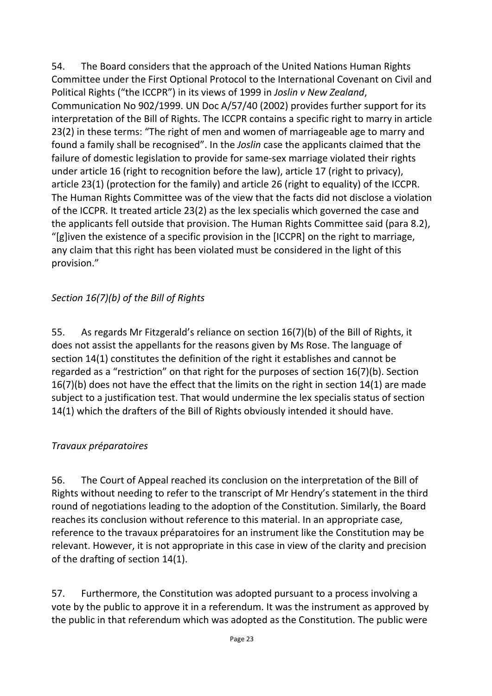54. The Board considers that the approach of the United Nations Human Rights Committee under the First Optional Protocol to the International Covenant on Civil and Political Rights ("the ICCPR") in its views of 1999 in *Joslin v New Zealand*, Communication No 902/1999. UN Doc A/57/40 (2002) provides further support for its interpretation of the Bill of Rights. The ICCPR contains a specific right to marry in article 23(2) in these terms: "The right of men and women of marriageable age to marry and found a family shall be recognised". In the *Joslin* case the applicants claimed that the failure of domestic legislation to provide for same-sex marriage violated their rights under article 16 (right to recognition before the law), article 17 (right to privacy), article 23(1) (protection for the family) and article 26 (right to equality) of the ICCPR. The Human Rights Committee was of the view that the facts did not disclose a violation of the ICCPR. It treated article 23(2) as the lex specialis which governed the case and the applicants fell outside that provision. The Human Rights Committee said (para 8.2), "[g]iven the existence of a specific provision in the [ICCPR] on the right to marriage, any claim that this right has been violated must be considered in the light of this provision."

### *Section 16(7)(b) of the Bill of Rights*

55. As regards Mr Fitzgerald's reliance on section 16(7)(b) of the Bill of Rights, it does not assist the appellants for the reasons given by Ms Rose. The language of section 14(1) constitutes the definition of the right it establishes and cannot be regarded as a "restriction" on that right for the purposes of section 16(7)(b). Section 16(7)(b) does not have the effect that the limits on the right in section 14(1) are made subject to a justification test. That would undermine the lex specialis status of section 14(1) which the drafters of the Bill of Rights obviously intended it should have.

#### *Travaux préparatoires*

56. The Court of Appeal reached its conclusion on the interpretation of the Bill of Rights without needing to refer to the transcript of Mr Hendry's statement in the third round of negotiations leading to the adoption of the Constitution. Similarly, the Board reaches its conclusion without reference to this material. In an appropriate case, reference to the travaux préparatoires for an instrument like the Constitution may be relevant. However, it is not appropriate in this case in view of the clarity and precision of the drafting of section 14(1).

57. Furthermore, the Constitution was adopted pursuant to a process involving a vote by the public to approve it in a referendum. It was the instrument as approved by the public in that referendum which was adopted as the Constitution. The public were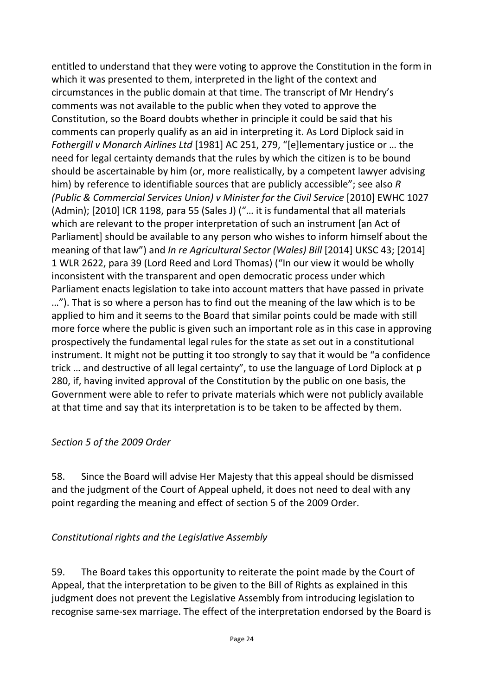entitled to understand that they were voting to approve the Constitution in the form in which it was presented to them, interpreted in the light of the context and circumstances in the public domain at that time. The transcript of Mr Hendry's comments was not available to the public when they voted to approve the Constitution, so the Board doubts whether in principle it could be said that his comments can properly qualify as an aid in interpreting it. As Lord Diplock said in *Fothergill v Monarch Airlines Ltd* [1981] AC 251, 279, "[e]lementary justice or … the need for legal certainty demands that the rules by which the citizen is to be bound should be ascertainable by him (or, more realistically, by a competent lawyer advising him) by reference to identifiable sources that are publicly accessible"; see also *R (Public & Commercial Services Union) v Minister for the Civil Service* [2010] EWHC 1027 (Admin); [2010] ICR 1198, para 55 (Sales J) ("… it is fundamental that all materials which are relevant to the proper interpretation of such an instrument [an Act of Parliament] should be available to any person who wishes to inform himself about the meaning of that law") and *In re Agricultural Sector (Wales) Bill* [2014] UKSC 43; [2014] 1 WLR 2622, para 39 (Lord Reed and Lord Thomas) ("In our view it would be wholly inconsistent with the transparent and open democratic process under which Parliament enacts legislation to take into account matters that have passed in private …"). That is so where a person has to find out the meaning of the law which is to be applied to him and it seems to the Board that similar points could be made with still more force where the public is given such an important role as in this case in approving prospectively the fundamental legal rules for the state as set out in a constitutional instrument. It might not be putting it too strongly to say that it would be "a confidence trick … and destructive of all legal certainty", to use the language of Lord Diplock at p 280, if, having invited approval of the Constitution by the public on one basis, the Government were able to refer to private materials which were not publicly available at that time and say that its interpretation is to be taken to be affected by them.

#### *Section 5 of the 2009 Order*

58. Since the Board will advise Her Majesty that this appeal should be dismissed and the judgment of the Court of Appeal upheld, it does not need to deal with any point regarding the meaning and effect of section 5 of the 2009 Order.

#### *Constitutional rights and the Legislative Assembly*

59. The Board takes this opportunity to reiterate the point made by the Court of Appeal, that the interpretation to be given to the Bill of Rights as explained in this judgment does not prevent the Legislative Assembly from introducing legislation to recognise same-sex marriage. The effect of the interpretation endorsed by the Board is